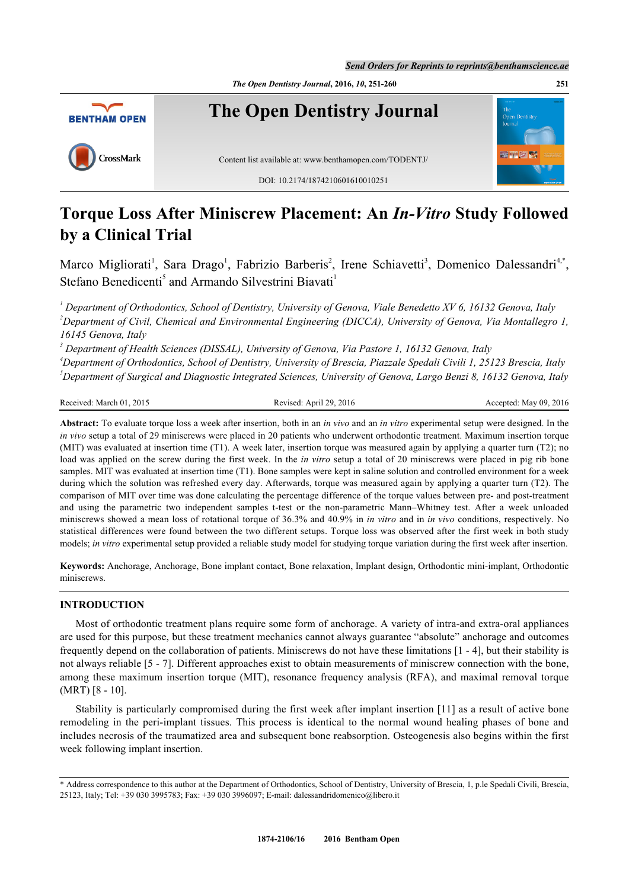*The Open Dentistry Journal***, 2016,** *10***, 251-260 251**



# **Torque Loss After Miniscrew Placement: An** *In-Vitro* **Study Followed by a Clinical Trial**

Marco Migliorati<sup>[1](#page-0-0)</sup>, Sara Drago<sup>1</sup>, Fabrizio Barberis<sup>[2](#page-0-1)</sup>, Irene Schiavetti<sup>[3](#page-0-2)</sup>, Domenico Dalessandri<sup>[4](#page-0-3)[,\\*](#page-0-4)</sup>, Stefano Benedicenti<sup>[5](#page-0-5)</sup> and Armando Silvestrini Biavati<sup>[1](#page-0-0)</sup>

<span id="page-0-1"></span><span id="page-0-0"></span><sup>1</sup> Department of Orthodontics, School of Dentistry, University of Genova, Viale Benedetto XV 6, 16132 Genova, Italy *<sup>2</sup>Department of Civil, Chemical and Environmental Engineering (DICCA), University of Genova, Via Montallegro 1, 16145 Genova, Italy*

<span id="page-0-2"></span>*3 Department of Health Sciences (DISSAL), University of Genova, Via Pastore 1, 16132 Genova, Italy*

<span id="page-0-5"></span><span id="page-0-3"></span>*<sup>4</sup>Department of Orthodontics, School of Dentistry, University of Brescia, Piazzale Spedali Civili 1, 25123 Brescia, Italy <sup>5</sup>Department of Surgical and Diagnostic Integrated Sciences, University of Genova, Largo Benzi 8, 16132 Genova, Italy*

Received: March 01, 2015 Revised: April 29, 2016 Revised: April 29, 2016 Accepted: May 09, 2016

**Abstract:** To evaluate torque loss a week after insertion, both in an *in vivo* and an *in vitro* experimental setup were designed. In the *in vivo* setup a total of 29 miniscrews were placed in 20 patients who underwent orthodontic treatment. Maximum insertion torque (MIT) was evaluated at insertion time (T1). A week later, insertion torque was measured again by applying a quarter turn (T2); no load was applied on the screw during the first week. In the *in vitro* setup a total of 20 miniscrews were placed in pig rib bone samples. MIT was evaluated at insertion time (T1). Bone samples were kept in saline solution and controlled environment for a week during which the solution was refreshed every day. Afterwards, torque was measured again by applying a quarter turn (T2). The comparison of MIT over time was done calculating the percentage difference of the torque values between pre- and post-treatment and using the parametric two independent samples t-test or the non-parametric Mann–Whitney test. After a week unloaded miniscrews showed a mean loss of rotational torque of 36.3% and 40.9% in *in vitro* and in *in vivo* conditions, respectively. No statistical differences were found between the two different setups. Torque loss was observed after the first week in both study models; *in vitro* experimental setup provided a reliable study model for studying torque variation during the first week after insertion.

**Keywords:** Anchorage, Anchorage, Bone implant contact, Bone relaxation, Implant design, Orthodontic mini-implant, Orthodontic miniscrews.

# **INTRODUCTION**

Most of orthodontic treatment plans require some form of anchorage. A variety of intra-and extra-oral appliances are used for this purpose, but these treatment mechanics cannot always guarantee "absolute" anchorage and outcomes frequently depend on the collaboration of patients. Miniscrews do not have these limitations [[1](#page-7-0) - [4](#page-7-1)], but their stability is not always reliable [[5](#page-7-2) - [7\]](#page-7-3). Different approaches exist to obtain measurements of miniscrew connection with the bone, among these maximum insertion torque (MIT), resonance frequency analysis (RFA), and maximal removal torque (MRT) [[8](#page-8-0) - [10](#page-8-1)].

Stability is particularly compromised during the first week after implant insertion [\[11\]](#page-8-2) as a result of active bone remodeling in the peri-implant tissues. This process is identical to the normal wound healing phases of bone and includes necrosis of the traumatized area and subsequent bone reabsorption. Osteogenesis also begins within the first week following implant insertion.

<span id="page-0-4"></span><sup>\*</sup> Address correspondence to this author at the Department of Orthodontics, School of Dentistry, University of Brescia, 1, p.le Spedali Civili, Brescia, 25123, Italy; Tel: +39 030 3995783; Fax: +39 030 3996097; E-mail: [dalessandridomenico@libero.it](mailto:dalessandridomenico@libero.it)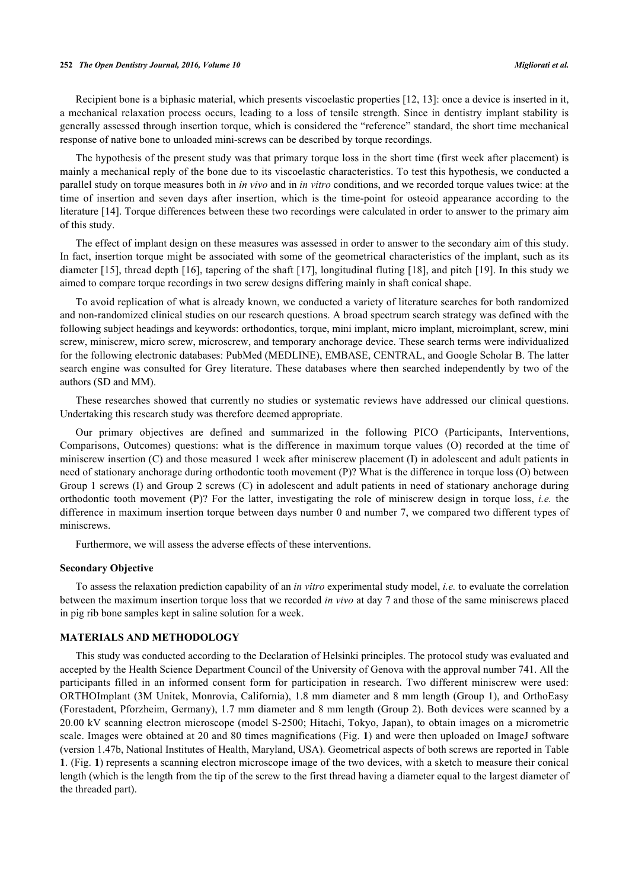Recipient bone is a biphasic material, which presents viscoelastic properties [[12,](#page-8-3) [13\]](#page-8-4): once a device is inserted in it, a mechanical relaxation process occurs, leading to a loss of tensile strength. Since in dentistry implant stability is generally assessed through insertion torque, which is considered the "reference" standard, the short time mechanical response of native bone to unloaded mini-screws can be described by torque recordings.

The hypothesis of the present study was that primary torque loss in the short time (first week after placement) is mainly a mechanical reply of the bone due to its viscoelastic characteristics. To test this hypothesis, we conducted a parallel study on torque measures both in *in vivo* and in *in vitro* conditions, and we recorded torque values twice: at the time of insertion and seven days after insertion, which is the time-point for osteoid appearance according to the literature [\[14](#page-8-5)]. Torque differences between these two recordings were calculated in order to answer to the primary aim of this study.

The effect of implant design on these measures was assessed in order to answer to the secondary aim of this study. In fact, insertion torque might be associated with some of the geometrical characteristics of the implant, such as its diameter [[15](#page-8-6)], thread depth [[16\]](#page-8-7), tapering of the shaft [\[17\]](#page-8-8), longitudinal fluting [[18\]](#page-8-9), and pitch [\[19\]](#page-8-10). In this study we aimed to compare torque recordings in two screw designs differing mainly in shaft conical shape.

To avoid replication of what is already known, we conducted a variety of literature searches for both randomized and non-randomized clinical studies on our research questions. A broad spectrum search strategy was defined with the following subject headings and keywords: orthodontics, torque, mini implant, micro implant, microimplant, screw, mini screw, miniscrew, micro screw, microscrew, and temporary anchorage device. These search terms were individualized for the following electronic databases: PubMed (MEDLINE), EMBASE, CENTRAL, and Google Scholar B. The latter search engine was consulted for Grey literature. These databases where then searched independently by two of the authors (SD and MM).

These researches showed that currently no studies or systematic reviews have addressed our clinical questions. Undertaking this research study was therefore deemed appropriate.

Our primary objectives are defined and summarized in the following PICO (Participants, Interventions, Comparisons, Outcomes) questions: what is the difference in maximum torque values (O) recorded at the time of miniscrew insertion (C) and those measured 1 week after miniscrew placement (I) in adolescent and adult patients in need of stationary anchorage during orthodontic tooth movement (P)? What is the difference in torque loss (O) between Group 1 screws (I) and Group 2 screws (C) in adolescent and adult patients in need of stationary anchorage during orthodontic tooth movement (P)? For the latter, investigating the role of miniscrew design in torque loss, *i.e.* the difference in maximum insertion torque between days number 0 and number 7, we compared two different types of miniscrews.

Furthermore, we will assess the adverse effects of these interventions.

#### **Secondary Objective**

To assess the relaxation prediction capability of an *in vitro* experimental study model, *i.e.* to evaluate the correlation between the maximum insertion torque loss that we recorded *in vivo* at day 7 and those of the same miniscrews placed in pig rib bone samples kept in saline solution for a week.

#### **MATERIALS AND METHODOLOGY**

<span id="page-1-0"></span>This study was conducted according to the Declaration of Helsinki principles. The protocol study was evaluated and accepted by the Health Science Department Council of the University of Genova with the approval number 741. All the participants filled in an informed consent form for participation in research. Two different miniscrew were used: ORTHOImplant (3M Unitek, Monrovia, California), 1.8 mm diameter and 8 mm length (Group 1), and OrthoEasy (Forestadent, Pforzheim, Germany), 1.7 mm diameter and 8 mm length (Group 2). Both devices were scanned by a 20.00 kV scanning electron microscope (model S-2500; Hitachi, Tokyo, Japan), to obtain images on a micrometric scale. Images were obtained at 20 and 80 times magnifications (Fig. **[1](#page-1-0)**) and were then uploaded on ImageJ software (version 1.47b, National Institutes of Health, Maryland, USA). Geometrical aspects of both screws are reported in Table **[1](#page-2-0)**. (Fig. **[1](#page-1-0)**) represents a scanning electron microscope image of the two devices, with a sketch to measure their conical length (which is the length from the tip of the screw to the first thread having a diameter equal to the largest diameter of the threaded part).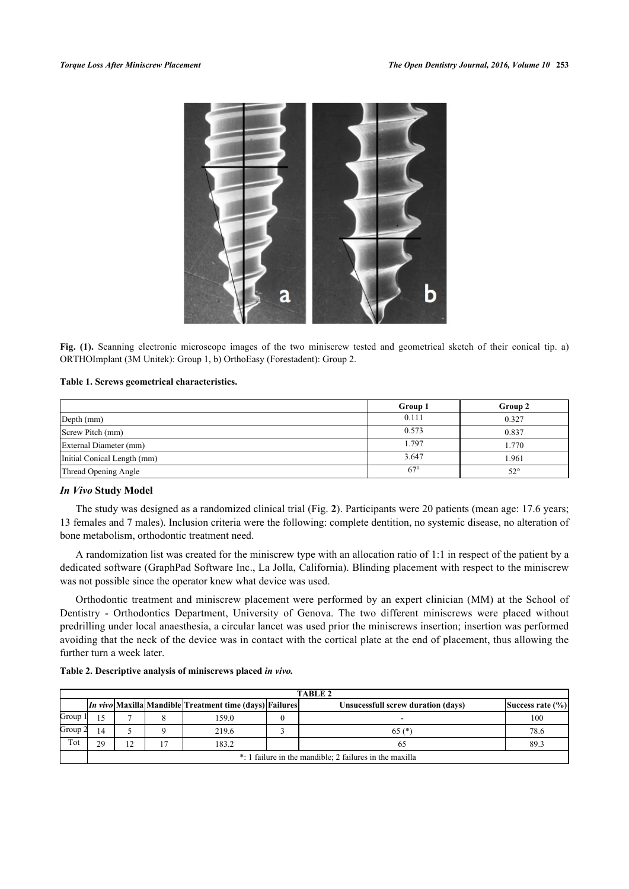

**Fig. (1).** Scanning electronic microscope images of the two miniscrew tested and geometrical sketch of their conical tip. a) ORTHOImplant (3M Unitek): Group 1, b) OrthoEasy (Forestadent): Group 2.

#### <span id="page-2-0"></span>**Table 1. Screws geometrical characteristics.**

|                             | Group 1      | Group 2      |
|-----------------------------|--------------|--------------|
| Depth (mm)                  | 0.111        | 0.327        |
| Screw Pitch (mm)            | 0.573        | 0.837        |
| External Diameter (mm)      | 1.797        | 1.770        |
| Initial Conical Length (mm) | 3.647        | l.961        |
| Thread Opening Angle        | $67^{\circ}$ | $52^{\circ}$ |

# *In Vivo* **Study Model**

The study was designed as a randomized clinical trial (Fig. **[2](#page-2-1)**). Participants were 20 patients (mean age: 17.6 years; 13 females and 7 males). Inclusion criteria were the following: complete dentition, no systemic disease, no alteration of bone metabolism, orthodontic treatment need.

A randomization list was created for the miniscrew type with an allocation ratio of 1:1 in respect of the patient by a dedicated software (GraphPad Software Inc., La Jolla, California). Blinding placement with respect to the miniscrew was not possible since the operator knew what device was used.

Orthodontic treatment and miniscrew placement were performed by an expert clinician (MM) at the School of Dentistry - Orthodontics Department, University of Genova. The two different miniscrews were placed without predrilling under local anaesthesia, a circular lancet was used prior the miniscrews insertion; insertion was performed avoiding that the neck of the device was in contact with the cortical plate at the end of placement, thus allowing the further turn a week later.

#### <span id="page-2-2"></span>**Table 2. Descriptive analysis of miniscrews placed** *in vivo.*

<span id="page-2-1"></span>

|       | <b>TABLE 2</b>                                          |    |  |                                                                |  |                                    |                  |  |
|-------|---------------------------------------------------------|----|--|----------------------------------------------------------------|--|------------------------------------|------------------|--|
|       |                                                         |    |  | <i>In vivo</i> Maxilla Mandible Treatment time (days) Failures |  | Unsucessfull screw duration (days) | Success rate (%) |  |
| Group | 15                                                      |    |  | 159.0                                                          |  |                                    | 100              |  |
| Group | 14                                                      |    |  | 219.6                                                          |  | $65 (*)$                           | 78.6             |  |
| Tot   | 29                                                      | 12 |  | 183.2                                                          |  | 65                                 | 89.3             |  |
|       | *: 1 failure in the mandible; 2 failures in the maxilla |    |  |                                                                |  |                                    |                  |  |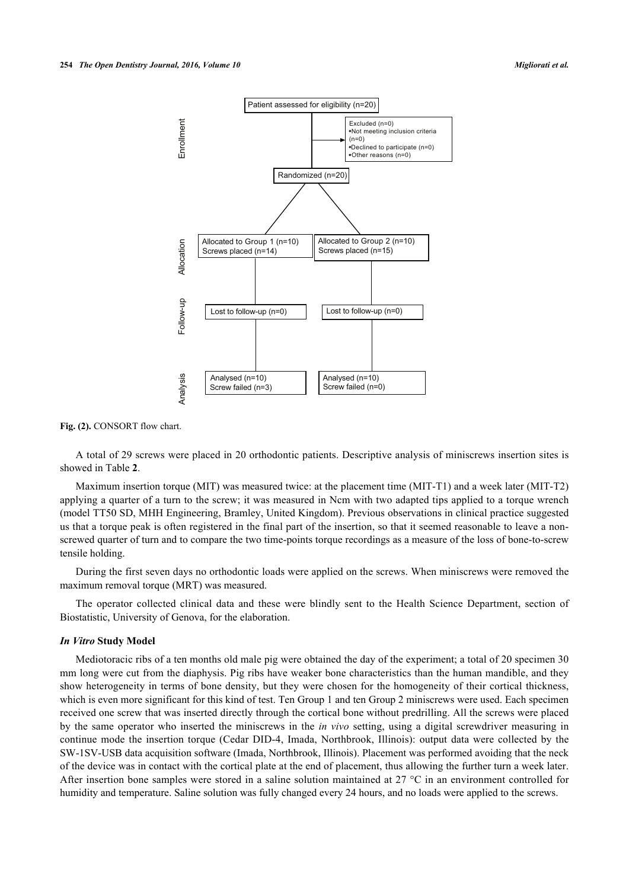

Fig. (2). CONSORT flow chart.

A total of 29 screws were placed in 20 orthodontic patients. Descriptive analysis of miniscrews insertion sites is showed in Table **[2](#page-2-2)**.

Maximum insertion torque (MIT) was measured twice: at the placement time (MIT-T1) and a week later (MIT-T2) applying a quarter of a turn to the screw; it was measured in Ncm with two adapted tips applied to a torque wrench (model TT50 SD, MHH Engineering, Bramley, United Kingdom). Previous observations in clinical practice suggested us that a torque peak is often registered in the final part of the insertion, so that it seemed reasonable to leave a nonscrewed quarter of turn and to compare the two time-points torque recordings as a measure of the loss of bone-to-screw tensile holding.

During the first seven days no orthodontic loads were applied on the screws. When miniscrews were removed the maximum removal torque (MRT) was measured.

The operator collected clinical data and these were blindly sent to the Health Science Department, section of Biostatistic, University of Genova, for the elaboration.

#### *In Vitro* **Study Model**

Mediotoracic ribs of a ten months old male pig were obtained the day of the experiment; a total of 20 specimen 30 mm long were cut from the diaphysis. Pig ribs have weaker bone characteristics than the human mandible, and they show heterogeneity in terms of bone density, but they were chosen for the homogeneity of their cortical thickness, which is even more significant for this kind of test. Ten Group 1 and ten Group 2 miniscrews were used. Each specimen received one screw that was inserted directly through the cortical bone without predrilling. All the screws were placed by the same operator who inserted the miniscrews in the *in vivo* setting, using a digital screwdriver measuring in continue mode the insertion torque (Cedar DID-4, Imada, Northbrook, Illinois): output data were collected by the SW-1SV-USB data acquisition software (Imada, Northbrook, Illinois). Placement was performed avoiding that the neck of the device was in contact with the cortical plate at the end of placement, thus allowing the further turn a week later. After insertion bone samples were stored in a saline solution maintained at 27  $\degree$ C in an environment controlled for humidity and temperature. Saline solution was fully changed every 24 hours, and no loads were applied to the screws.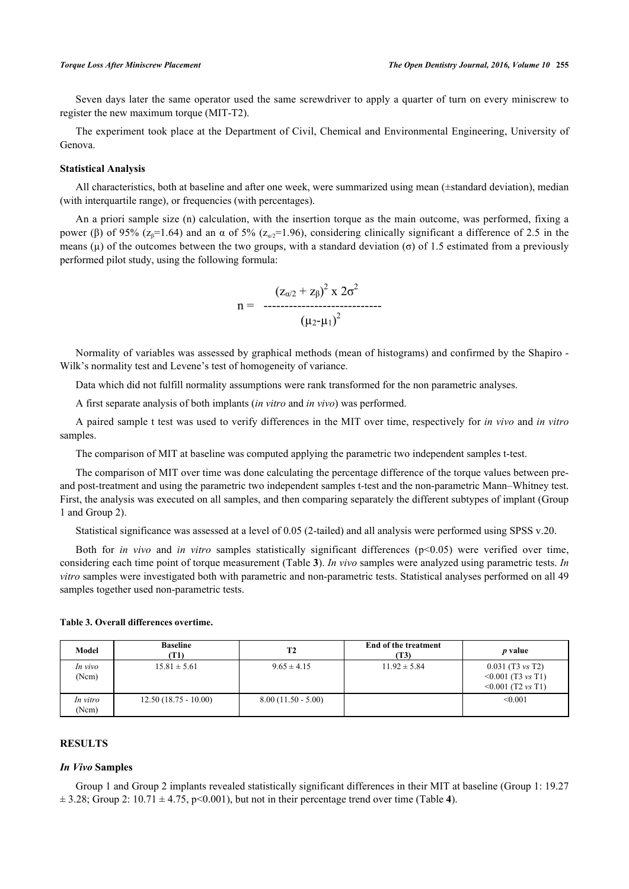Seven days later the same operator used the same screwdriver to apply a quarter of turn on every miniscrew to register the new maximum torque (MIT-T2).

The experiment took place at the Department of Civil, Chemical and Environmental Engineering, University of Genova.

#### **Statistical Analysis**

All characteristics, both at baseline and after one week, were summarized using mean (±standard deviation), median (with interquartile range), or frequencies (with percentages).

An a priori sample size (n) calculation, with the insertion torque as the main outcome, was performed, fixing a power (β) of 95% (z<sub>β</sub>=1.64) and an α of 5% (z<sub>*θ*/2</sub>=1.96), considering clinically significant a difference of 2.5 in the means ( $\mu$ ) of the outcomes between the two groups, with a standard deviation ( $\sigma$ ) of 1.5 estimated from a previously performed pilot study, using the following formula:

$$
n = \frac{(z_{\alpha/2} + z_{\beta})^2 \times 2\sigma^2}{( \mu_2 \cdot \mu_1 )^2}
$$

Normality of variables was assessed by graphical methods (mean of histograms) and confirmed by the Shapiro - Wilk's normality test and Levene's test of homogeneity of variance.

Data which did not fulfill normality assumptions were rank transformed for the non parametric analyses.

A first separate analysis of both implants (*in vitro* and *in vivo*) was performed.

A paired sample t test was used to verify differences in the MIT over time, respectively for *in vivo* and *in vitro* samples.

The comparison of MIT at baseline was computed applying the parametric two independent samples t-test.

The comparison of MIT over time was done calculating the percentage difference of the torque values between preand post-treatment and using the parametric two independent samples t-test and the non-parametric Mann–Whitney test. First, the analysis was executed on all samples, and then comparing separately the different subtypes of implant (Group 1 and Group 2).

Statistical significance was assessed at a level of 0.05 (2-tailed) and all analysis were performed using SPSS v.20.

Both for *in vivo* and *in vitro* samples statistically significant differences (p<0.05) were verified over time, considering each time point of torque measurement (Table **[3](#page-4-0)**). *In vivo* samples were analyzed using parametric tests. *In vitro* samples were investigated both with parametric and non-parametric tests. Statistical analyses performed on all 49 samples together used non-parametric tests.

| Model             | <b>Baseline</b><br>T1) | <b>T2</b>            | <b>End of the treatment</b><br>(T3) | <i>p</i> value                                                                         |
|-------------------|------------------------|----------------------|-------------------------------------|----------------------------------------------------------------------------------------|
| In vivo<br>(Ncm)  | $15.81 \pm 5.61$       | $9.65 \pm 4.15$      | $11.92 \pm 5.84$                    | $0.031$ (T3 vs T2)<br>$\leq 0.001$ (T3 <i>vs</i> T1)<br>$\leq 0.001$ (T2 <i>vs</i> T1) |
| In vitro<br>(Ncm) | $12.50(18.75 - 10.00)$ | $8.00(11.50 - 5.00)$ |                                     | < 0.001                                                                                |

#### <span id="page-4-0"></span>**Table 3. Overall differences overtime.**

# **RESULTS**

### *In Vivo* **Samples**

Group 1 and Group 2 implants revealed statistically significant differences in their MIT at baseline (Group 1: 19.27  $\pm$  3.28; Group 2: 10.71  $\pm$  [4](#page-5-0).75, p<0.001), but not in their percentage trend over time (Table 4).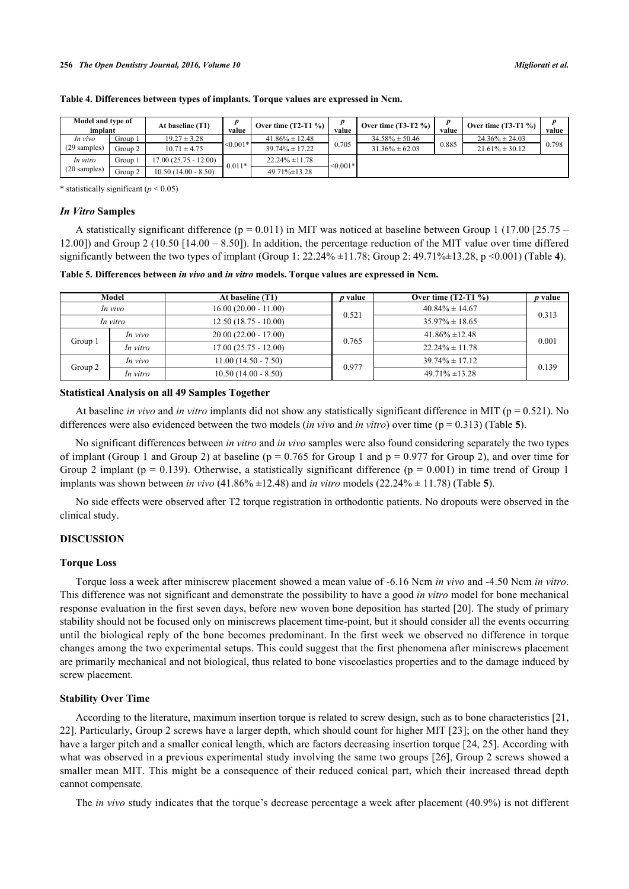| Model and type of<br>implant |         | <b>At baseline (T1)</b> | value      | Over time $(T2-T1 \%)$ | value      | Over time $(T3-T2 \%)$ | value | Over time $(T3-T1\%)$ | value |
|------------------------------|---------|-------------------------|------------|------------------------|------------|------------------------|-------|-----------------------|-------|
| In vivo                      | Group 1 | $19.27 \pm 3.28$        |            | $41.86\% \pm 12.48$    |            | $34.58\% \pm 50.46$    |       | $24.36\% \pm 24.03$   |       |
| $(29$ samples)               | Group 2 | $10.71 \pm 4.75$        | $< 0.001*$ | $39.74\% \pm 17.22$    | 0.705      | $31.36\% \pm 62.03$    | 0.885 | $21.61\% \pm 30.12$   | 0.798 |
| In vitro                     | Group 1 | $17.00(25.75 - 12.00)$  | $0.011*$   | $22.24\% \pm 11.78$    | $< 0.001*$ |                        |       |                       |       |
| $(20 \text{ samples})$       | Group 2 | $10.50(14.00 - 8.50)$   |            | $49.71\% \pm 13.28$    |            |                        |       |                       |       |

#### <span id="page-5-0"></span>**Table 4. Differences between types of implants. Torque values are expressed in Ncm.**

\* statistically significant  $(p < 0.05)$ 

#### *In Vitro* **Samples**

A statistically significant difference  $(p = 0.011)$  in MIT was noticed at baseline between Group 1 (17.00 [25.75 – 12.00]) and Group 2 (10.50 [14.00 – 8.50]). In addition, the percentage reduction of the MIT value over time differed significantly between the two types of implant (Group 1:  $22.24\% \pm 11.78$  $22.24\% \pm 11.78$  $22.24\% \pm 11.78$ ; Group 2:  $49.71\% \pm 13.28$ , p <0.001) (Table 4).

<span id="page-5-1"></span>**Table 5. Differences between** *in vivo* **and** *in vitro* **models. Torque values are expressed in Ncm.**

| Model    |          | At baseline (T1)       | <i>p</i> value | Over time $(T2-T1 \%)$ | <i>p</i> value |  |
|----------|----------|------------------------|----------------|------------------------|----------------|--|
| In vivo  |          | $16.00(20.00 - 11.00)$ | 0.521          | $40.84\% \pm 14.67$    | 0.313          |  |
| In vitro |          | $12.50(18.75 - 10.00)$ |                | $35.97\% \pm 18.65$    |                |  |
| Group 1  | In vivo  | $20.00(22.00 - 17.00)$ | 0.765          | $41.86\% \pm 12.48$    | 0.001          |  |
|          | In vitro | $17.00(25.75 - 12.00)$ |                | $22.24\% \pm 11.78$    |                |  |
| Group 2  | In vivo  | $11.00(14.50 - 7.50)$  | 0.977          | $39.74\% \pm 17.12$    | 0.139          |  |
|          | In vitro | $10.50(14.00 - 8.50)$  |                | $49.71\% \pm 13.28$    |                |  |

### **Statistical Analysis on all 49 Samples Together**

At baseline *in vivo* and *in vitro* implants did not show any statistically significant difference in MIT (p = 0.521). No differences were also evidenced between the two models (*in vivo* and *in vitro*) over time (p = 0.313) (Table **[5](#page-5-1)**).

No significant differences between *in vitro* and *in vivo* samples were also found considering separately the two types of implant (Group 1 and Group 2) at baseline ( $p = 0.765$  for Group 1 and  $p = 0.977$  for Group 2), and over time for Group 2 implant ( $p = 0.139$ ). Otherwise, a statistically significant difference ( $p = 0.001$ ) in time trend of Group 1 implants was shown between *in vivo* (41.86% ±12.48) and *in vitro* models (22.24% ± 11.78) (Table **[5](#page-5-1)**).

No side effects were observed after T2 torque registration in orthodontic patients. No dropouts were observed in the clinical study.

#### **DISCUSSION**

### **Torque Loss**

Torque loss a week after miniscrew placement showed a mean value of -6.16 Ncm *in vivo* and -4.50 Ncm *in vitro*. This difference was not significant and demonstrate the possibility to have a good *in vitro* model for bone mechanical response evaluation in the first seven days, before new woven bone deposition has started [[20\]](#page-8-11). The study of primary stability should not be focused only on miniscrews placement time-point, but it should consider all the events occurring until the biological reply of the bone becomes predominant. In the first week we observed no difference in torque changes among the two experimental setups. This could suggest that the first phenomena after miniscrews placement are primarily mechanical and not biological, thus related to bone viscoelastics properties and to the damage induced by screw placement.

#### **Stability Over Time**

According to the literature, maximum insertion torque is related to screw design, such as to bone characteristics [[21](#page-8-12), [22\]](#page-8-13). Particularly, Group 2 screws have a larger depth, which should count for higher MIT [\[23](#page-8-14)]; on the other hand they have a larger pitch and a smaller conical length, which are factors decreasing insertion torque [[24,](#page-8-15) [25\]](#page-8-16). According with what was observed in a previous experimental study involving the same two groups [\[26](#page-8-17)], Group 2 screws showed a smaller mean MIT. This might be a consequence of their reduced conical part, which their increased thread depth cannot compensate.

The *in vivo* study indicates that the torque's decrease percentage a week after placement (40.9%) is not different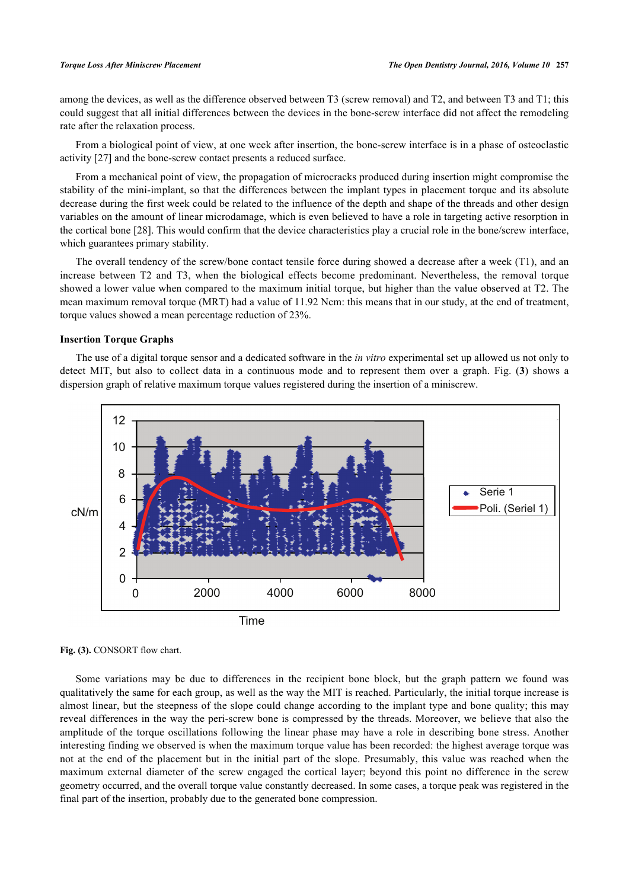among the devices, as well as the difference observed between T3 (screw removal) and T2, and between T3 and T1; this could suggest that all initial differences between the devices in the bone-screw interface did not affect the remodeling rate after the relaxation process.

From a biological point of view, at one week after insertion, the bone-screw interface is in a phase of osteoclastic activity [[27\]](#page-9-0) and the bone-screw contact presents a reduced surface.

From a mechanical point of view, the propagation of microcracks produced during insertion might compromise the stability of the mini-implant, so that the differences between the implant types in placement torque and its absolute decrease during the first week could be related to the influence of the depth and shape of the threads and other design variables on the amount of linear microdamage, which is even believed to have a role in targeting active resorption in the cortical bone [[28\]](#page-9-1). This would confirm that the device characteristics play a crucial role in the bone/screw interface, which guarantees primary stability.

The overall tendency of the screw/bone contact tensile force during showed a decrease after a week (T1), and an increase between T2 and T3, when the biological effects become predominant. Nevertheless, the removal torque showed a lower value when compared to the maximum initial torque, but higher than the value observed at T2. The mean maximum removal torque (MRT) had a value of 11.92 Ncm: this means that in our study, at the end of treatment, torque values showed a mean percentage reduction of 23%.

# **Insertion Torque Graphs**

The use of a digital torque sensor and a dedicated software in the *in vitro* experimental set up allowed us not only to detect MIT, but also to collect data in a continuous mode and to represent them over a graph. Fig. (**[3](#page-6-0)**) shows a dispersion graph of relative maximum torque values registered during the insertion of a miniscrew.

<span id="page-6-0"></span>

Fig. (3). CONSORT flow chart.

Some variations may be due to differences in the recipient bone block, but the graph pattern we found was qualitatively the same for each group, as well as the way the MIT is reached. Particularly, the initial torque increase is almost linear, but the steepness of the slope could change according to the implant type and bone quality; this may reveal differences in the way the peri-screw bone is compressed by the threads. Moreover, we believe that also the amplitude of the torque oscillations following the linear phase may have a role in describing bone stress. Another interesting finding we observed is when the maximum torque value has been recorded: the highest average torque was not at the end of the placement but in the initial part of the slope. Presumably, this value was reached when the maximum external diameter of the screw engaged the cortical layer; beyond this point no difference in the screw geometry occurred, and the overall torque value constantly decreased. In some cases, a torque peak was registered in the final part of the insertion, probably due to the generated bone compression.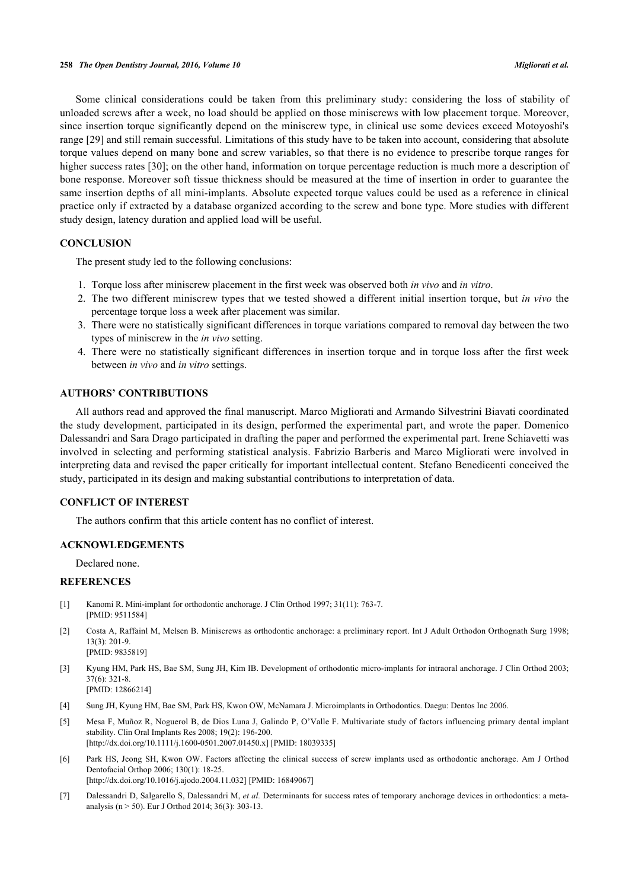Some clinical considerations could be taken from this preliminary study: considering the loss of stability of unloaded screws after a week, no load should be applied on those miniscrews with low placement torque. Moreover, since insertion torque significantly depend on the miniscrew type, in clinical use some devices exceed Motoyoshi's range [[29](#page-9-2)] and still remain successful. Limitations of this study have to be taken into account, considering that absolute torque values depend on many bone and screw variables, so that there is no evidence to prescribe torque ranges for higher success rates [\[30](#page-9-3)]; on the other hand, information on torque percentage reduction is much more a description of bone response. Moreover soft tissue thickness should be measured at the time of insertion in order to guarantee the same insertion depths of all mini-implants. Absolute expected torque values could be used as a reference in clinical practice only if extracted by a database organized according to the screw and bone type. More studies with different study design, latency duration and applied load will be useful.

# **CONCLUSION**

The present study led to the following conclusions:

- 1. Torque loss after miniscrew placement in the first week was observed both *in vivo* and *in vitro*.
- 2. The two different miniscrew types that we tested showed a different initial insertion torque, but *in vivo* the percentage torque loss a week after placement was similar.
- 3. There were no statistically significant differences in torque variations compared to removal day between the two types of miniscrew in the *in vivo* setting.
- 4. There were no statistically significant differences in insertion torque and in torque loss after the first week between *in vivo* and *in vitro* settings.

# **AUTHORS' CONTRIBUTIONS**

All authors read and approved the final manuscript. Marco Migliorati and Armando Silvestrini Biavati coordinated the study development, participated in its design, performed the experimental part, and wrote the paper. Domenico Dalessandri and Sara Drago participated in drafting the paper and performed the experimental part. Irene Schiavetti was involved in selecting and performing statistical analysis. Fabrizio Barberis and Marco Migliorati were involved in interpreting data and revised the paper critically for important intellectual content. Stefano Benedicenti conceived the study, participated in its design and making substantial contributions to interpretation of data.

# **CONFLICT OF INTEREST**

The authors confirm that this article content has no conflict of interest.

# **ACKNOWLEDGEMENTS**

Declared none.

# **REFERENCES**

- <span id="page-7-0"></span>[1] Kanomi R. Mini-implant for orthodontic anchorage. J Clin Orthod 1997; 31(11): 763-7. [PMID: [9511584\]](http://www.ncbi.nlm.nih.gov/pubmed/9511584)
- [2] Costa A, Raffainl M, Melsen B. Miniscrews as orthodontic anchorage: a preliminary report. Int J Adult Orthodon Orthognath Surg 1998; 13(3): 201-9. [PMID: [9835819\]](http://www.ncbi.nlm.nih.gov/pubmed/9835819)
- [3] Kyung HM, Park HS, Bae SM, Sung JH, Kim IB. Development of orthodontic micro-implants for intraoral anchorage. J Clin Orthod 2003; 37(6): 321-8. [PMID: [12866214\]](http://www.ncbi.nlm.nih.gov/pubmed/12866214)
- <span id="page-7-1"></span>[4] Sung JH, Kyung HM, Bae SM, Park HS, Kwon OW, McNamara J. Microimplants in Orthodontics. Daegu: Dentos Inc 2006.
- <span id="page-7-2"></span>[5] Mesa F, Muñoz R, Noguerol B, de Dios Luna J, Galindo P, O'Valle F. Multivariate study of factors influencing primary dental implant stability. Clin Oral Implants Res 2008; 19(2): 196-200. [\[http://dx.doi.org/10.1111/j.1600-0501.2007.01450.x\]](http://dx.doi.org/10.1111/j.1600-0501.2007.01450.x) [PMID: [18039335](http://www.ncbi.nlm.nih.gov/pubmed/18039335)]
- [6] Park HS, Jeong SH, Kwon OW. Factors affecting the clinical success of screw implants used as orthodontic anchorage. Am J Orthod Dentofacial Orthop 2006; 130(1): 18-25. [\[http://dx.doi.org/10.1016/j.ajodo.2004.11.032\]](http://dx.doi.org/10.1016/j.ajodo.2004.11.032) [PMID: [16849067](http://www.ncbi.nlm.nih.gov/pubmed/16849067)]
- <span id="page-7-3"></span>[7] Dalessandri D, Salgarello S, Dalessandri M, *et al.* Determinants for success rates of temporary anchorage devices in orthodontics: a metaanalysis (n > 50). Eur J Orthod 2014; 36(3): 303-13.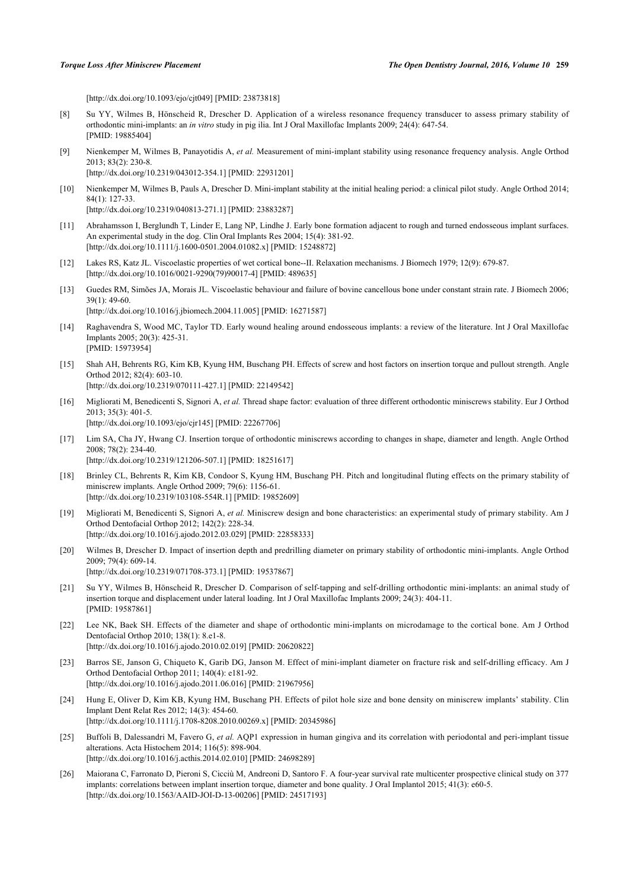[\[http://dx.doi.org/10.1093/ejo/cjt049\]](http://dx.doi.org/10.1093/ejo/cjt049) [PMID: [23873818](http://www.ncbi.nlm.nih.gov/pubmed/23873818)]

- <span id="page-8-0"></span>[8] Su YY, Wilmes B, Hönscheid R, Drescher D. Application of a wireless resonance frequency transducer to assess primary stability of orthodontic mini-implants: an *in vitro* study in pig ilia. Int J Oral Maxillofac Implants 2009; 24(4): 647-54. [PMID: [19885404\]](http://www.ncbi.nlm.nih.gov/pubmed/19885404)
- [9] Nienkemper M, Wilmes B, Panayotidis A, *et al.* Measurement of mini-implant stability using resonance frequency analysis. Angle Orthod 2013; 83(2): 230-8. [\[http://dx.doi.org/10.2319/043012-354.1](http://dx.doi.org/10.2319/043012-354.1)] [PMID: [22931201](http://www.ncbi.nlm.nih.gov/pubmed/22931201)]
- 
- <span id="page-8-1"></span>[10] Nienkemper M, Wilmes B, Pauls A, Drescher D. Mini-implant stability at the initial healing period: a clinical pilot study. Angle Orthod 2014; 84(1): 127-33. [\[http://dx.doi.org/10.2319/040813-271.1](http://dx.doi.org/10.2319/040813-271.1)] [PMID: [23883287](http://www.ncbi.nlm.nih.gov/pubmed/23883287)]
- <span id="page-8-2"></span>[11] Abrahamsson I, Berglundh T, Linder E, Lang NP, Lindhe J. Early bone formation adjacent to rough and turned endosseous implant surfaces. An experimental study in the dog. Clin Oral Implants Res 2004; 15(4): 381-92. [\[http://dx.doi.org/10.1111/j.1600-0501.2004.01082.x\]](http://dx.doi.org/10.1111/j.1600-0501.2004.01082.x) [PMID: [15248872](http://www.ncbi.nlm.nih.gov/pubmed/15248872)]
- <span id="page-8-3"></span>[12] Lakes RS, Katz JL. Viscoelastic properties of wet cortical bone--II. Relaxation mechanisms. J Biomech 1979; 12(9): 679-87. [\[http://dx.doi.org/10.1016/0021-9290\(79\)90017-4](http://dx.doi.org/10.1016/0021-9290(79)90017-4)] [PMID: [489635](http://www.ncbi.nlm.nih.gov/pubmed/489635)]
- <span id="page-8-4"></span>[13] Guedes RM, Simões JA, Morais JL. Viscoelastic behaviour and failure of bovine cancellous bone under constant strain rate. J Biomech 2006;  $39(1)$ : 49-60. [\[http://dx.doi.org/10.1016/j.jbiomech.2004.11.005\]](http://dx.doi.org/10.1016/j.jbiomech.2004.11.005) [PMID: [16271587](http://www.ncbi.nlm.nih.gov/pubmed/16271587)]
- <span id="page-8-5"></span>[14] Raghavendra S, Wood MC, Taylor TD. Early wound healing around endosseous implants: a review of the literature. Int J Oral Maxillofac Implants 2005; 20(3): 425-31. [PMID: [15973954\]](http://www.ncbi.nlm.nih.gov/pubmed/15973954)
- <span id="page-8-6"></span>[15] Shah AH, Behrents RG, Kim KB, Kyung HM, Buschang PH. Effects of screw and host factors on insertion torque and pullout strength. Angle Orthod 2012; 82(4): 603-10. [\[http://dx.doi.org/10.2319/070111-427.1](http://dx.doi.org/10.2319/070111-427.1)] [PMID: [22149542](http://www.ncbi.nlm.nih.gov/pubmed/22149542)]
- <span id="page-8-7"></span>[16] Migliorati M, Benedicenti S, Signori A, *et al.* Thread shape factor: evaluation of three different orthodontic miniscrews stability. Eur J Orthod 2013; 35(3): 401-5. [\[http://dx.doi.org/10.1093/ejo/cjr145](http://dx.doi.org/10.1093/ejo/cjr145)] [PMID: [22267706\]](http://www.ncbi.nlm.nih.gov/pubmed/22267706)
- <span id="page-8-8"></span>[17] Lim SA, Cha JY, Hwang CJ. Insertion torque of orthodontic miniscrews according to changes in shape, diameter and length. Angle Orthod 2008; 78(2): 234-40. [\[http://dx.doi.org/10.2319/121206-507.1](http://dx.doi.org/10.2319/121206-507.1)] [PMID: [18251617](http://www.ncbi.nlm.nih.gov/pubmed/18251617)]
- <span id="page-8-9"></span>[18] Brinley CL, Behrents R, Kim KB, Condoor S, Kyung HM, Buschang PH. Pitch and longitudinal fluting effects on the primary stability of miniscrew implants. Angle Orthod 2009; 79(6): 1156-61. [\[http://dx.doi.org/10.2319/103108-554R.1\]](http://dx.doi.org/10.2319/103108-554R.1) [PMID: [19852609](http://www.ncbi.nlm.nih.gov/pubmed/19852609)]
- <span id="page-8-10"></span>[19] Migliorati M, Benedicenti S, Signori A, *et al.* Miniscrew design and bone characteristics: an experimental study of primary stability. Am J Orthod Dentofacial Orthop 2012; 142(2): 228-34. [\[http://dx.doi.org/10.1016/j.ajodo.2012.03.029\]](http://dx.doi.org/10.1016/j.ajodo.2012.03.029) [PMID: [22858333](http://www.ncbi.nlm.nih.gov/pubmed/22858333)]
- <span id="page-8-11"></span>[20] Wilmes B, Drescher D. Impact of insertion depth and predrilling diameter on primary stability of orthodontic mini-implants. Angle Orthod 2009; 79(4): 609-14. [\[http://dx.doi.org/10.2319/071708-373.1](http://dx.doi.org/10.2319/071708-373.1)] [PMID: [19537867](http://www.ncbi.nlm.nih.gov/pubmed/19537867)]
- <span id="page-8-12"></span>[21] Su YY, Wilmes B, Hönscheid R, Drescher D. Comparison of self-tapping and self-drilling orthodontic mini-implants: an animal study of insertion torque and displacement under lateral loading. Int J Oral Maxillofac Implants 2009; 24(3): 404-11. [PMID: [19587861\]](http://www.ncbi.nlm.nih.gov/pubmed/19587861)
- <span id="page-8-13"></span>[22] Lee NK, Baek SH. Effects of the diameter and shape of orthodontic mini-implants on microdamage to the cortical bone. Am J Orthod Dentofacial Orthop 2010; 138(1): 8.e1-8. [\[http://dx.doi.org/10.1016/j.ajodo.2010.02.019\]](http://dx.doi.org/10.1016/j.ajodo.2010.02.019) [PMID: [20620822](http://www.ncbi.nlm.nih.gov/pubmed/20620822)]
- <span id="page-8-14"></span>[23] Barros SE, Janson G, Chiqueto K, Garib DG, Janson M. Effect of mini-implant diameter on fracture risk and self-drilling efficacy. Am J Orthod Dentofacial Orthop 2011; 140(4): e181-92. [\[http://dx.doi.org/10.1016/j.ajodo.2011.06.016\]](http://dx.doi.org/10.1016/j.ajodo.2011.06.016) [PMID: [21967956](http://www.ncbi.nlm.nih.gov/pubmed/21967956)]
- <span id="page-8-15"></span>[24] Hung E, Oliver D, Kim KB, Kyung HM, Buschang PH. Effects of pilot hole size and bone density on miniscrew implants' stability. Clin Implant Dent Relat Res 2012; 14(3): 454-60. [\[http://dx.doi.org/10.1111/j.1708-8208.2010.00269.x\]](http://dx.doi.org/10.1111/j.1708-8208.2010.00269.x) [PMID: [20345986](http://www.ncbi.nlm.nih.gov/pubmed/20345986)]
- <span id="page-8-16"></span>[25] Buffoli B, Dalessandri M, Favero G, *et al.* AQP1 expression in human gingiva and its correlation with periodontal and peri-implant tissue alterations. Acta Histochem 2014; 116(5): 898-904. [\[http://dx.doi.org/10.1016/j.acthis.2014.02.010\]](http://dx.doi.org/10.1016/j.acthis.2014.02.010) [PMID: [24698289](http://www.ncbi.nlm.nih.gov/pubmed/24698289)]
- <span id="page-8-17"></span>[26] Maiorana C, Farronato D, Pieroni S, Cicciù M, Andreoni D, Santoro F. A four-year survival rate multicenter prospective clinical study on 377 implants: correlations between implant insertion torque, diameter and bone quality. J Oral Implantol 2015; 41(3): e60-5. [\[http://dx.doi.org/10.1563/AAID-JOI-D-13-00206\]](http://dx.doi.org/10.1563/AAID-JOI-D-13-00206) [PMID: [24517193](http://www.ncbi.nlm.nih.gov/pubmed/24517193)]